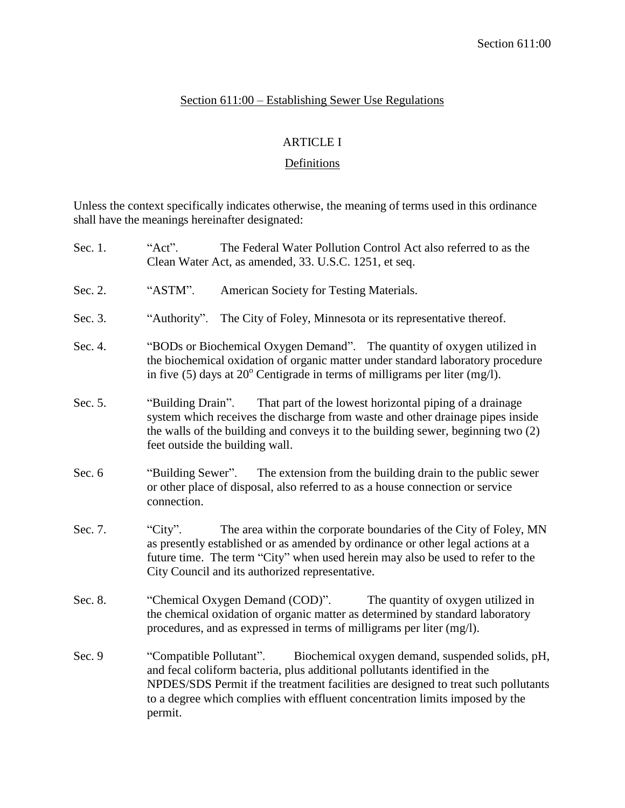# Section 611:00 – Establishing Sewer Use Regulations

# ARTICLE I

# **Definitions**

Unless the context specifically indicates otherwise, the meaning of terms used in this ordinance shall have the meanings hereinafter designated:

| Sec. 1. | "Act".<br>The Federal Water Pollution Control Act also referred to as the<br>Clean Water Act, as amended, 33. U.S.C. 1251, et seq.                                                                                                                                                                                                        |  |  |  |
|---------|-------------------------------------------------------------------------------------------------------------------------------------------------------------------------------------------------------------------------------------------------------------------------------------------------------------------------------------------|--|--|--|
| Sec. 2. | "ASTM".<br>American Society for Testing Materials.                                                                                                                                                                                                                                                                                        |  |  |  |
| Sec. 3. | The City of Foley, Minnesota or its representative thereof.<br>"Authority".                                                                                                                                                                                                                                                               |  |  |  |
| Sec. 4. | "BODs or Biochemical Oxygen Demand". The quantity of oxygen utilized in<br>the biochemical oxidation of organic matter under standard laboratory procedure<br>in five (5) days at $20^{\circ}$ Centigrade in terms of milligrams per liter (mg/l).                                                                                        |  |  |  |
| Sec. 5. | That part of the lowest horizontal piping of a drainage<br>"Building Drain".<br>system which receives the discharge from waste and other drainage pipes inside<br>the walls of the building and conveys it to the building sewer, beginning two (2)<br>feet outside the building wall.                                                    |  |  |  |
| Sec. 6  | "Building Sewer".<br>The extension from the building drain to the public sewer<br>or other place of disposal, also referred to as a house connection or service<br>connection.                                                                                                                                                            |  |  |  |
| Sec. 7. | "City".<br>The area within the corporate boundaries of the City of Foley, MN<br>as presently established or as amended by ordinance or other legal actions at a<br>future time. The term "City" when used herein may also be used to refer to the<br>City Council and its authorized representative.                                      |  |  |  |
| Sec. 8. | "Chemical Oxygen Demand (COD)".<br>The quantity of oxygen utilized in<br>the chemical oxidation of organic matter as determined by standard laboratory<br>procedures, and as expressed in terms of milligrams per liter (mg/l).                                                                                                           |  |  |  |
| Sec. 9  | "Compatible Pollutant".<br>Biochemical oxygen demand, suspended solids, pH,<br>and fecal coliform bacteria, plus additional pollutants identified in the<br>NPDES/SDS Permit if the treatment facilities are designed to treat such pollutants<br>to a degree which complies with effluent concentration limits imposed by the<br>permit. |  |  |  |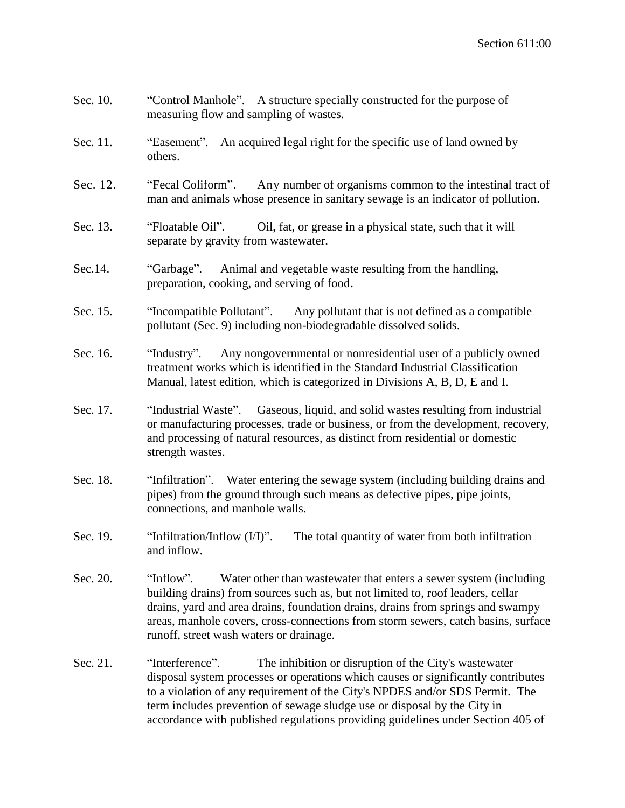- Sec. 10. "Control Manhole". A structure specially constructed for the purpose of measuring flow and sampling of wastes.
- Sec. 11. "Easement". An acquired legal right for the specific use of land owned by others.
- Sec. 12. "Fecal Coliform". Any number of organisms common to the intestinal tract of man and animals whose presence in sanitary sewage is an indicator of pollution.
- Sec. 13. "Floatable Oil". Oil, fat, or grease in a physical state, such that it will separate by gravity from wastewater.
- Sec.14. "Garbage". Animal and vegetable waste resulting from the handling, preparation, cooking, and serving of food.
- Sec. 15. "Incompatible Pollutant". Any pollutant that is not defined as a compatible pollutant (Sec. 9) including non-biodegradable dissolved solids.
- Sec. 16. "Industry". Any nongovernmental or nonresidential user of a publicly owned treatment works which is identified in the Standard Industrial Classification Manual, latest edition, which is categorized in Divisions A, B, D, E and I.
- Sec. 17. "Industrial Waste". Gaseous, liquid, and solid wastes resulting from industrial or manufacturing processes, trade or business, or from the development, recovery, and processing of natural resources, as distinct from residential or domestic strength wastes.
- Sec. 18. "Infiltration". Water entering the sewage system (including building drains and pipes) from the ground through such means as defective pipes, pipe joints, connections, and manhole walls.
- Sec. 19. "Infiltration/Inflow  $(I/I)$ ". The total quantity of water from both infiltration and inflow.
- Sec. 20. "Inflow". Water other than wastewater that enters a sewer system (including building drains) from sources such as, but not limited to, roof leaders, cellar drains, yard and area drains, foundation drains, drains from springs and swampy areas, manhole covers, cross-connections from storm sewers, catch basins, surface runoff, street wash waters or drainage.
- Sec. 21. "Interference". The inhibition or disruption of the City's wastewater disposal system processes or operations which causes or significantly contributes to a violation of any requirement of the City's NPDES and/or SDS Permit. The term includes prevention of sewage sludge use or disposal by the City in accordance with published regulations providing guidelines under Section 405 of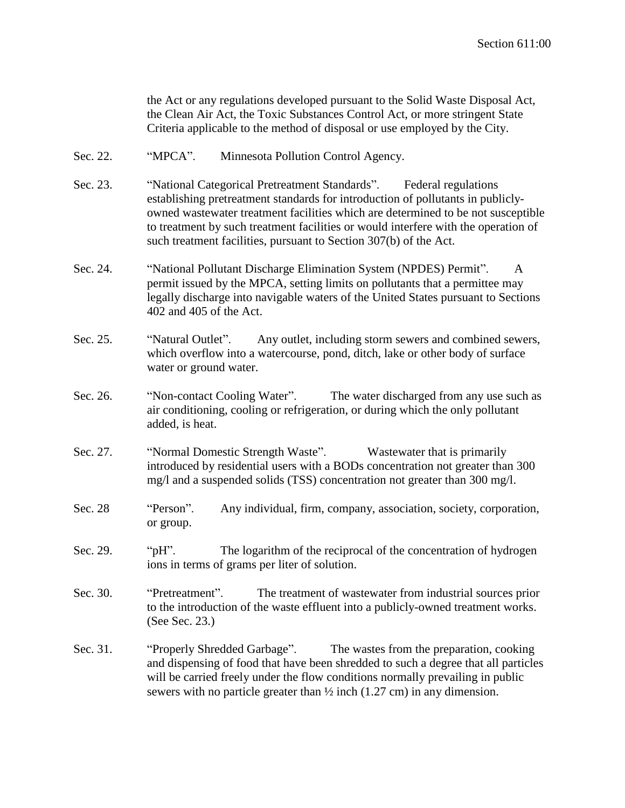the Act or any regulations developed pursuant to the Solid Waste Disposal Act, the Clean Air Act, the Toxic Substances Control Act, or more stringent State Criteria applicable to the method of disposal or use employed by the City.

- Sec. 22. "MPCA". Minnesota Pollution Control Agency.
- Sec. 23. "National Categorical Pretreatment Standards". Federal regulations establishing pretreatment standards for introduction of pollutants in publiclyowned wastewater treatment facilities which are determined to be not susceptible to treatment by such treatment facilities or would interfere with the operation of such treatment facilities, pursuant to Section 307(b) of the Act.
- Sec. 24. "National Pollutant Discharge Elimination System (NPDES) Permit". A permit issued by the MPCA, setting limits on pollutants that a permittee may legally discharge into navigable waters of the United States pursuant to Sections 402 and 405 of the Act.
- Sec. 25. "Natural Outlet". Any outlet, including storm sewers and combined sewers, which overflow into a watercourse, pond, ditch, lake or other body of surface water or ground water.
- Sec. 26. "Non-contact Cooling Water". The water discharged from any use such as air conditioning, cooling or refrigeration, or during which the only pollutant added, is heat.
- Sec. 27. "Normal Domestic Strength Waste". Wastewater that is primarily introduced by residential users with a BODs concentration not greater than 300 mg/l and a suspended solids (TSS) concentration not greater than 300 mg/l.
- Sec. 28 "Person". Any individual, firm, company, association, society, corporation, or group.
- Sec. 29. "pH". The logarithm of the reciprocal of the concentration of hydrogen ions in terms of grams per liter of solution.
- Sec. 30. "Pretreatment". The treatment of wastewater from industrial sources prior to the introduction of the waste effluent into a publicly-owned treatment works. (See Sec. 23.)
- Sec. 31. "Properly Shredded Garbage". The wastes from the preparation, cooking and dispensing of food that have been shredded to such a degree that all particles will be carried freely under the flow conditions normally prevailing in public sewers with no particle greater than  $\frac{1}{2}$  inch (1.27 cm) in any dimension.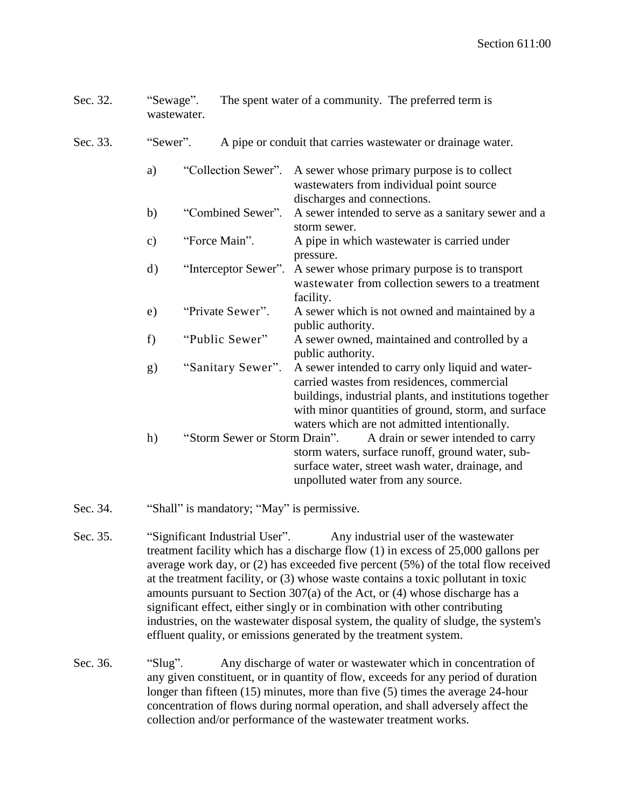| Sec. 32. | "Sewage".      | wastewater.         |                                                               | The spent water of a community. The preferred term is                                                                                                                                                                                                            |  |
|----------|----------------|---------------------|---------------------------------------------------------------|------------------------------------------------------------------------------------------------------------------------------------------------------------------------------------------------------------------------------------------------------------------|--|
| Sec. 33. | "Sewer".       |                     | A pipe or conduit that carries was tewater or drainage water. |                                                                                                                                                                                                                                                                  |  |
|          | a)             | "Collection Sewer". |                                                               | A sewer whose primary purpose is to collect<br>wastewaters from individual point source<br>discharges and connections.                                                                                                                                           |  |
|          | b)             | "Combined Sewer".   |                                                               | A sewer intended to serve as a sanitary sewer and a<br>storm sewer.                                                                                                                                                                                              |  |
|          | $\mathbf{c})$  | "Force Main".       |                                                               | A pipe in which wastewater is carried under<br>pressure.                                                                                                                                                                                                         |  |
|          | $\mathrm{d}$ ) |                     | "Interceptor Sewer".                                          | A sewer whose primary purpose is to transport<br>wastewater from collection sewers to a treatment<br>facility.                                                                                                                                                   |  |
|          | e)             |                     | "Private Sewer".                                              | A sewer which is not owned and maintained by a<br>public authority.                                                                                                                                                                                              |  |
|          | f)             |                     | "Public Sewer"                                                | A sewer owned, maintained and controlled by a<br>public authority.                                                                                                                                                                                               |  |
|          | g)             |                     | "Sanitary Sewer".                                             | A sewer intended to carry only liquid and water-<br>carried wastes from residences, commercial<br>buildings, industrial plants, and institutions together<br>with minor quantities of ground, storm, and surface<br>waters which are not admitted intentionally. |  |
|          | h)             |                     | "Storm Sewer or Storm Drain".                                 | A drain or sewer intended to carry<br>storm waters, surface runoff, ground water, sub-<br>surface water, street wash water, drainage, and<br>unpolluted water from any source.                                                                                   |  |

- Sec. 34. "Shall" is mandatory; "May" is permissive.
- Sec. 35. "Significant Industrial User". Any industrial user of the wastewater treatment facility which has a discharge flow (1) in excess of 25,000 gallons per average work day, or (2) has exceeded five percent (5%) of the total flow received at the treatment facility, or (3) whose waste contains a toxic pollutant in toxic amounts pursuant to Section 307(a) of the Act, or (4) whose discharge has a significant effect, either singly or in combination with other contributing industries, on the wastewater disposal system, the quality of sludge, the system's effluent quality, or emissions generated by the treatment system.
- Sec. 36. "Slug". Any discharge of water or wastewater which in concentration of any given constituent, or in quantity of flow, exceeds for any period of duration longer than fifteen (15) minutes, more than five (5) times the average 24-hour concentration of flows during normal operation, and shall adversely affect the collection and/or performance of the wastewater treatment works.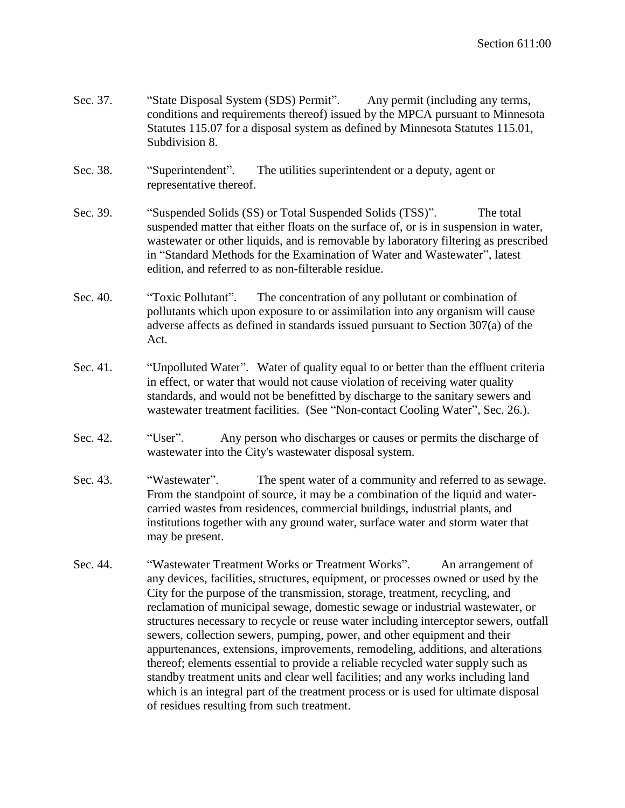| Sec. 37. | "State Disposal System (SDS) Permit".<br>Any permit (including any terms,<br>conditions and requirements thereof) issued by the MPCA pursuant to Minnesota<br>Statutes 115.07 for a disposal system as defined by Minnesota Statutes 115.01,<br>Subdivision 8. |  |  |  |
|----------|----------------------------------------------------------------------------------------------------------------------------------------------------------------------------------------------------------------------------------------------------------------|--|--|--|
| Sec. 38. | The utilities superintendent or a deputy, agent or<br>"Superintendent".<br>representative thereof.                                                                                                                                                             |  |  |  |
| Sec. 39. | "Suspended Solids (SS) or Total Suspended Solids (TSS)".<br>The total<br>suspended matter that either floats on the surface of, or is in suspension in water,<br>was tewater or other liquids, and is removable by laboratory filtering as prescribed          |  |  |  |

in "Standard Methods for the Examination of Water and Wastewater", latest edition, and referred to as non-filterable residue. Sec. 40. "Toxic Pollutant". The concentration of any pollutant or combination of

- pollutants which upon exposure to or assimilation into any organism will cause adverse affects as defined in standards issued pursuant to Section 307(a) of the Act.
- Sec. 41. "Unpolluted Water". Water of quality equal to or better than the effluent criteria in effect, or water that would not cause violation of receiving water quality standards, and would not be benefitted by discharge to the sanitary sewers and wastewater treatment facilities. (See "Non-contact Cooling Water", Sec. 26.).
- Sec. 42. "User". Any person who discharges or causes or permits the discharge of wastewater into the City's wastewater disposal system.
- Sec. 43. "Wastewater". The spent water of a community and referred to as sewage. From the standpoint of source, it may be a combination of the liquid and watercarried wastes from residences, commercial buildings, industrial plants, and institutions together with any ground water, surface water and storm water that may be present.
- Sec. 44. "Wastewater Treatment Works or Treatment Works". An arrangement of any devices, facilities, structures, equipment, or processes owned or used by the City for the purpose of the transmission, storage, treatment, recycling, and reclamation of municipal sewage, domestic sewage or industrial wastewater, or structures necessary to recycle or reuse water including interceptor sewers, outfall sewers, collection sewers, pumping, power, and other equipment and their appurtenances, extensions, improvements, remodeling, additions, and alterations thereof; elements essential to provide a reliable recycled water supply such as standby treatment units and clear well facilities; and any works including land which is an integral part of the treatment process or is used for ultimate disposal of residues resulting from such treatment.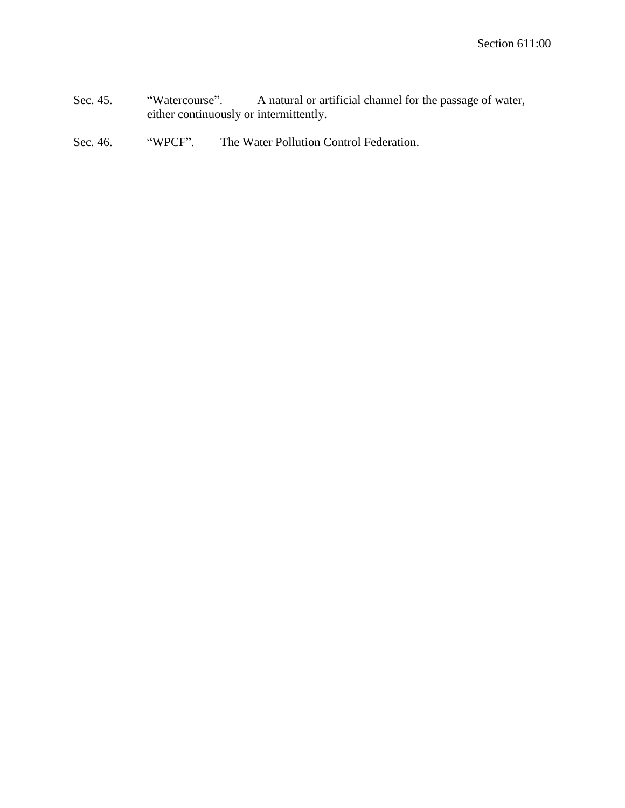Sec. 45. "Watercourse". A natural or artificial channel for the passage of water, either continuously or intermittently.

# Sec. 46. "WPCF". The Water Pollution Control Federation.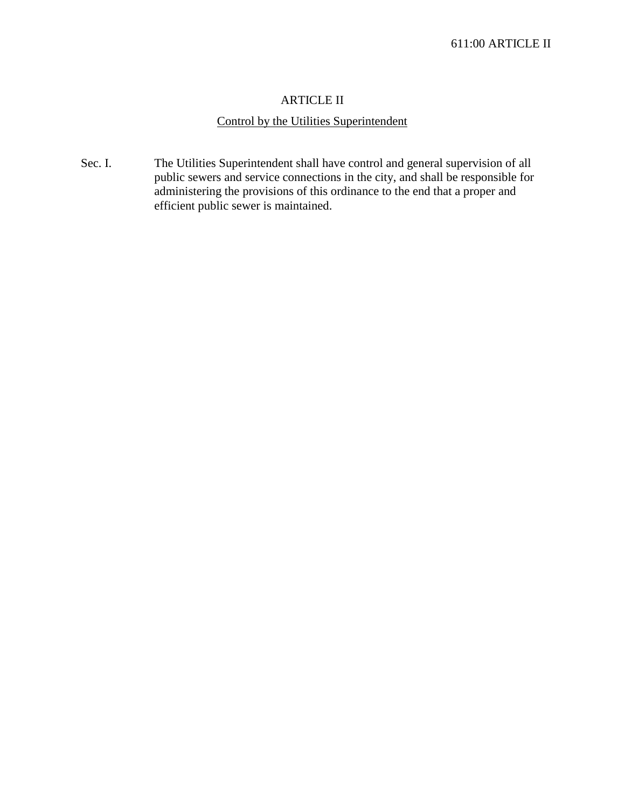#### ARTICLE II

# Control by the Utilities Superintendent

Sec. I. The Utilities Superintendent shall have control and general supervision of all public sewers and service connections in the city, and shall be responsible for administering the provisions of this ordinance to the end that a proper and efficient public sewer is maintained.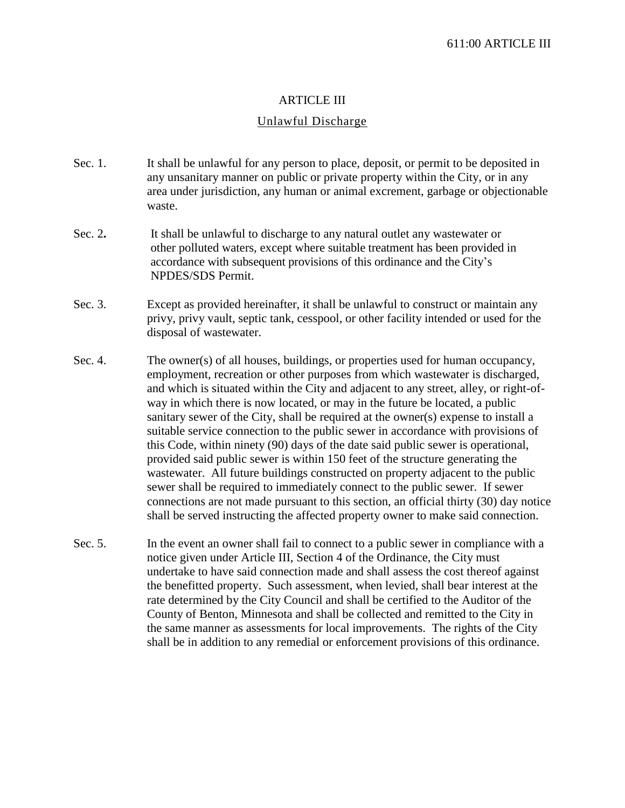#### ARTICLE III

#### Unlawful Discharge

- Sec. 1. It shall be unlawful for any person to place, deposit, or permit to be deposited in any unsanitary manner on public or private property within the City, or in any area under jurisdiction, any human or animal excrement, garbage or objectionable waste.
- Sec. 2**.** It shall be unlawful to discharge to any natural outlet any wastewater or other polluted waters, except where suitable treatment has been provided in accordance with subsequent provisions of this ordinance and the City's NPDES/SDS Permit.
- Sec. 3. Except as provided hereinafter, it shall be unlawful to construct or maintain any privy, privy vault, septic tank, cesspool, or other facility intended or used for the disposal of wastewater.
- Sec. 4. The owner(s) of all houses, buildings, or properties used for human occupancy, employment, recreation or other purposes from which wastewater is discharged, and which is situated within the City and adjacent to any street, alley, or right-ofway in which there is now located, or may in the future be located, a public sanitary sewer of the City, shall be required at the owner(s) expense to install a suitable service connection to the public sewer in accordance with provisions of this Code, within ninety (90) days of the date said public sewer is operational, provided said public sewer is within 150 feet of the structure generating the wastewater. All future buildings constructed on property adjacent to the public sewer shall be required to immediately connect to the public sewer. If sewer connections are not made pursuant to this section, an official thirty (30) day notice shall be served instructing the affected property owner to make said connection.
- Sec. 5. In the event an owner shall fail to connect to a public sewer in compliance with a notice given under Article III, Section 4 of the Ordinance, the City must undertake to have said connection made and shall assess the cost thereof against the benefitted property. Such assessment, when levied, shall bear interest at the rate determined by the City Council and shall be certified to the Auditor of the County of Benton, Minnesota and shall be collected and remitted to the City in the same manner as assessments for local improvements. The rights of the City shall be in addition to any remedial or enforcement provisions of this ordinance.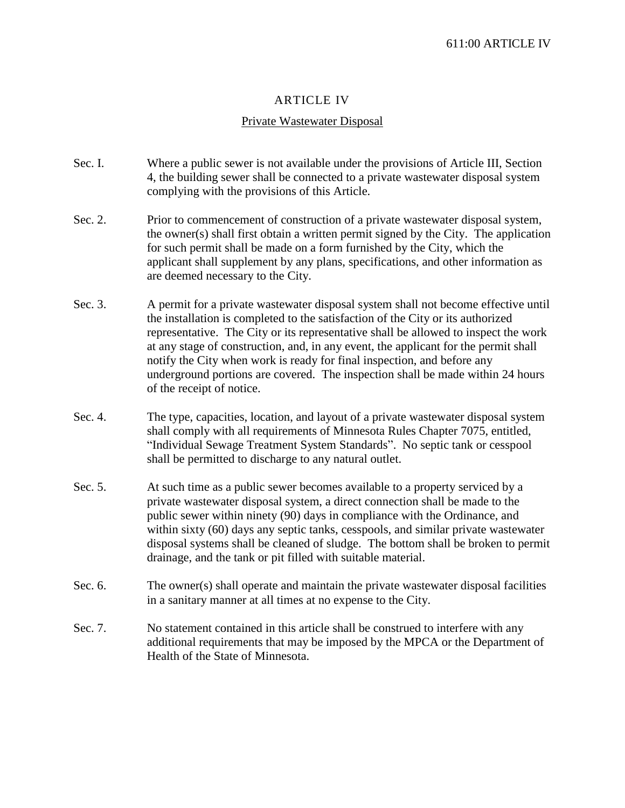## ARTICLE IV

## Private Wastewater Disposal

- Sec. I. Where a public sewer is not available under the provisions of Article III, Section 4, the building sewer shall be connected to a private wastewater disposal system complying with the provisions of this Article.
- Sec. 2. Prior to commencement of construction of a private wastewater disposal system, the owner(s) shall first obtain a written permit signed by the City. The application for such permit shall be made on a form furnished by the City, which the applicant shall supplement by any plans, specifications, and other information as are deemed necessary to the City.
- Sec. 3. A permit for a private wastewater disposal system shall not become effective until the installation is completed to the satisfaction of the City or its authorized representative. The City or its representative shall be allowed to inspect the work at any stage of construction, and, in any event, the applicant for the permit shall notify the City when work is ready for final inspection, and before any underground portions are covered. The inspection shall be made within 24 hours of the receipt of notice.
- Sec. 4. The type, capacities, location, and layout of a private wastewater disposal system shall comply with all requirements of Minnesota Rules Chapter 7075, entitled, "Individual Sewage Treatment System Standards". No septic tank or cesspool shall be permitted to discharge to any natural outlet.
- Sec. 5. At such time as a public sewer becomes available to a property serviced by a private wastewater disposal system, a direct connection shall be made to the public sewer within ninety (90) days in compliance with the Ordinance, and within sixty (60) days any septic tanks, cesspools, and similar private wastewater disposal systems shall be cleaned of sludge. The bottom shall be broken to permit drainage, and the tank or pit filled with suitable material.
- Sec. 6. The owner(s) shall operate and maintain the private wastewater disposal facilities in a sanitary manner at all times at no expense to the City.
- Sec. 7. No statement contained in this article shall be construed to interfere with any additional requirements that may be imposed by the MPCA or the Department of Health of the State of Minnesota.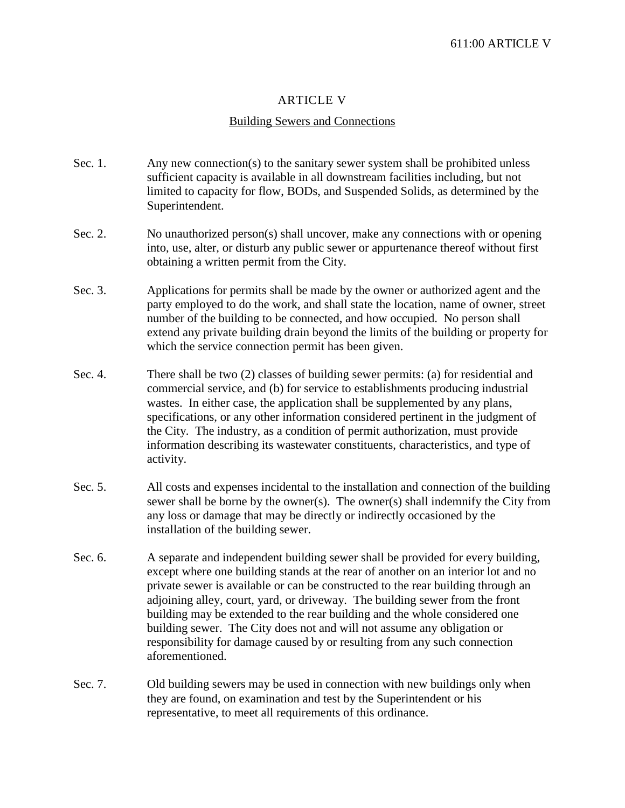## ARTICLE V

#### Building Sewers and Connections

- Sec. 1. Any new connection(s) to the sanitary sewer system shall be prohibited unless sufficient capacity is available in all downstream facilities including, but not limited to capacity for flow, BODs, and Suspended Solids, as determined by the Superintendent.
- Sec. 2. No unauthorized person(s) shall uncover, make any connections with or opening into, use, alter, or disturb any public sewer or appurtenance thereof without first obtaining a written permit from the City.
- Sec. 3. Applications for permits shall be made by the owner or authorized agent and the party employed to do the work, and shall state the location, name of owner, street number of the building to be connected, and how occupied. No person shall extend any private building drain beyond the limits of the building or property for which the service connection permit has been given.
- Sec. 4. There shall be two (2) classes of building sewer permits: (a) for residential and commercial service, and (b) for service to establishments producing industrial wastes. In either case, the application shall be supplemented by any plans, specifications, or any other information considered pertinent in the judgment of the City. The industry, as a condition of permit authorization, must provide information describing its wastewater constituents, characteristics, and type of activity.
- Sec. 5. All costs and expenses incidental to the installation and connection of the building sewer shall be borne by the owner(s). The owner(s) shall indemnify the City from any loss or damage that may be directly or indirectly occasioned by the installation of the building sewer.
- Sec. 6. A separate and independent building sewer shall be provided for every building, except where one building stands at the rear of another on an interior lot and no private sewer is available or can be constructed to the rear building through an adjoining alley, court, yard, or driveway. The building sewer from the front building may be extended to the rear building and the whole considered one building sewer. The City does not and will not assume any obligation or responsibility for damage caused by or resulting from any such connection aforementioned.
- Sec. 7. Old building sewers may be used in connection with new buildings only when they are found, on examination and test by the Superintendent or his representative, to meet all requirements of this ordinance.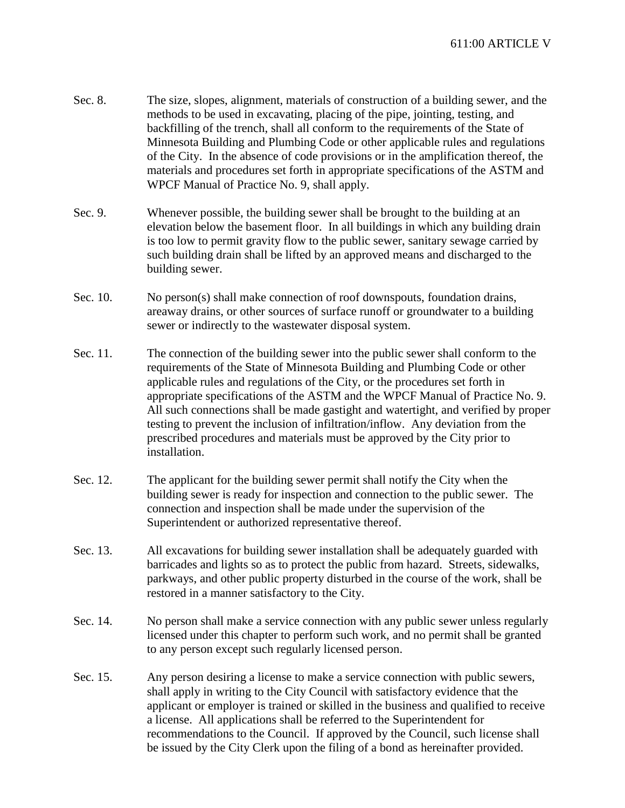- Sec. 8. The size, slopes, alignment, materials of construction of a building sewer, and the methods to be used in excavating, placing of the pipe, jointing, testing, and backfilling of the trench, shall all conform to the requirements of the State of Minnesota Building and Plumbing Code or other applicable rules and regulations of the City. In the absence of code provisions or in the amplification thereof, the materials and procedures set forth in appropriate specifications of the ASTM and WPCF Manual of Practice No. 9, shall apply.
- Sec. 9. Whenever possible, the building sewer shall be brought to the building at an elevation below the basement floor. In all buildings in which any building drain is too low to permit gravity flow to the public sewer, sanitary sewage carried by such building drain shall be lifted by an approved means and discharged to the building sewer.
- Sec. 10. No person(s) shall make connection of roof downspouts, foundation drains, areaway drains, or other sources of surface runoff or groundwater to a building sewer or indirectly to the wastewater disposal system.
- Sec. 11. The connection of the building sewer into the public sewer shall conform to the requirements of the State of Minnesota Building and Plumbing Code or other applicable rules and regulations of the City, or the procedures set forth in appropriate specifications of the ASTM and the WPCF Manual of Practice No. 9. All such connections shall be made gastight and watertight, and verified by proper testing to prevent the inclusion of infiltration/inflow. Any deviation from the prescribed procedures and materials must be approved by the City prior to installation.
- Sec. 12. The applicant for the building sewer permit shall notify the City when the building sewer is ready for inspection and connection to the public sewer. The connection and inspection shall be made under the supervision of the Superintendent or authorized representative thereof.
- Sec. 13. All excavations for building sewer installation shall be adequately guarded with barricades and lights so as to protect the public from hazard. Streets, sidewalks, parkways, and other public property disturbed in the course of the work, shall be restored in a manner satisfactory to the City.
- Sec. 14. No person shall make a service connection with any public sewer unless regularly licensed under this chapter to perform such work, and no permit shall be granted to any person except such regularly licensed person.
- Sec. 15. Any person desiring a license to make a service connection with public sewers, shall apply in writing to the City Council with satisfactory evidence that the applicant or employer is trained or skilled in the business and qualified to receive a license. All applications shall be referred to the Superintendent for recommendations to the Council. If approved by the Council, such license shall be issued by the City Clerk upon the filing of a bond as hereinafter provided.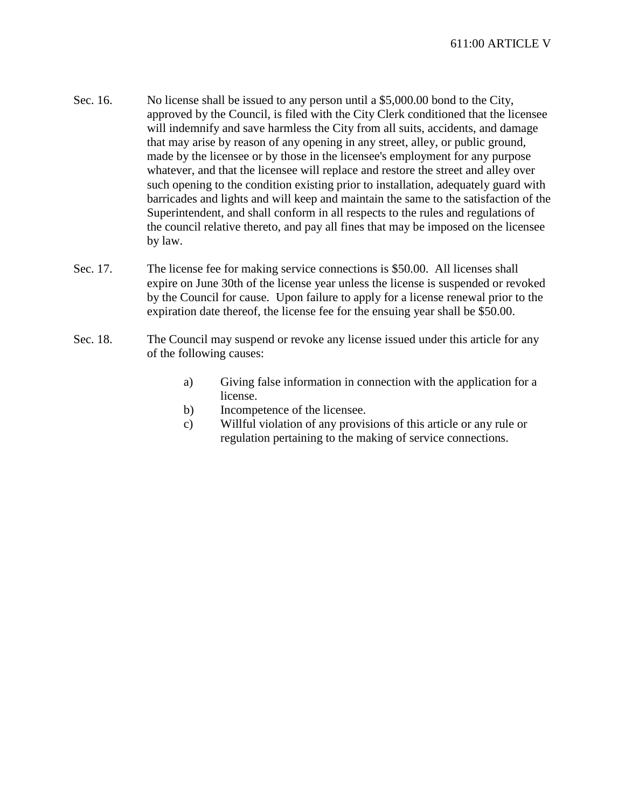- Sec. 16. No license shall be issued to any person until a \$5,000.00 bond to the City, approved by the Council, is filed with the City Clerk conditioned that the licensee will indemnify and save harmless the City from all suits, accidents, and damage that may arise by reason of any opening in any street, alley, or public ground, made by the licensee or by those in the licensee's employment for any purpose whatever, and that the licensee will replace and restore the street and alley over such opening to the condition existing prior to installation, adequately guard with barricades and lights and will keep and maintain the same to the satisfaction of the Superintendent, and shall conform in all respects to the rules and regulations of the council relative thereto, and pay all fines that may be imposed on the licensee by law.
- Sec. 17. The license fee for making service connections is \$50.00. All licenses shall expire on June 30th of the license year unless the license is suspended or revoked by the Council for cause. Upon failure to apply for a license renewal prior to the expiration date thereof, the license fee for the ensuing year shall be \$50.00.
- Sec. 18. The Council may suspend or revoke any license issued under this article for any of the following causes:
	- a) Giving false information in connection with the application for a license.
	- b) Incompetence of the licensee.
	- c) Willful violation of any provisions of this article or any rule or regulation pertaining to the making of service connections.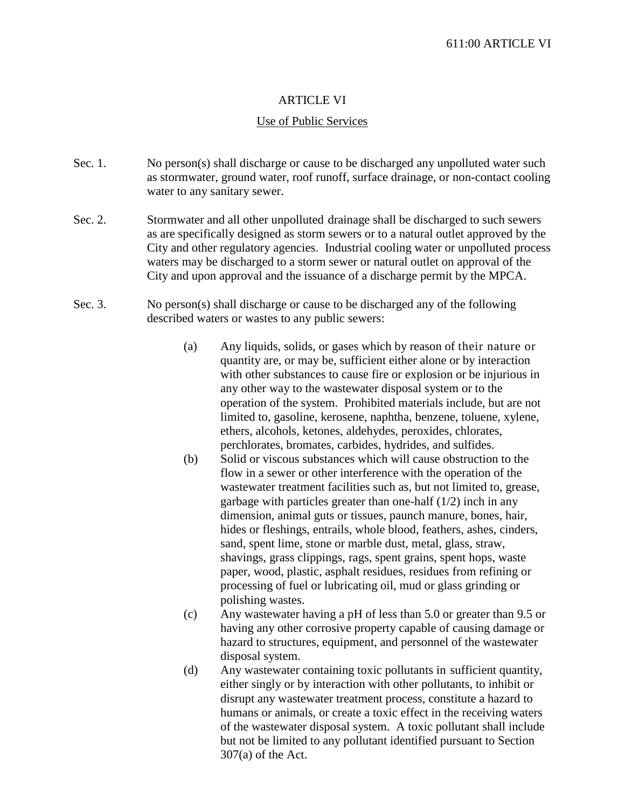## ARTICLE VI

#### Use of Public Services

- Sec. 1. No person(s) shall discharge or cause to be discharged any unpolluted water such as stormwater, ground water, roof runoff, surface drainage, or non-contact cooling water to any sanitary sewer.
- Sec. 2. Stormwater and all other unpolluted drainage shall be discharged to such sewers as are specifically designed as storm sewers or to a natural outlet approved by the City and other regulatory agencies. Industrial cooling water or unpolluted process waters may be discharged to a storm sewer or natural outlet on approval of the City and upon approval and the issuance of a discharge permit by the MPCA.
- Sec. 3. No person(s) shall discharge or cause to be discharged any of the following described waters or wastes to any public sewers:
	- (a) Any liquids, solids, or gases which by reason of their nature or quantity are, or may be, sufficient either alone or by interaction with other substances to cause fire or explosion or be injurious in any other way to the wastewater disposal system or to the operation of the system. Prohibited materials include, but are not limited to, gasoline, kerosene, naphtha, benzene, toluene, xylene, ethers, alcohols, ketones, aldehydes, peroxides, chlorates, perchlorates, bromates, carbides, hydrides, and sulfides.
	- (b) Solid or viscous substances which will cause obstruction to the flow in a sewer or other interference with the operation of the wastewater treatment facilities such as, but not limited to, grease, garbage with particles greater than one-half (1/2) inch in any dimension, animal guts or tissues, paunch manure, bones, hair, hides or fleshings, entrails, whole blood, feathers, ashes, cinders, sand, spent lime, stone or marble dust, metal, glass, straw, shavings, grass clippings, rags, spent grains, spent hops, waste paper, wood, plastic, asphalt residues, residues from refining or processing of fuel or lubricating oil, mud or glass grinding or polishing wastes.
	- (c) Any wastewater having a pH of less than 5.0 or greater than 9.5 or having any other corrosive property capable of causing damage or hazard to structures, equipment, and personnel of the wastewater disposal system.
	- (d) Any wastewater containing toxic pollutants in sufficient quantity, either singly or by interaction with other pollutants, to inhibit or disrupt any wastewater treatment process, constitute a hazard to humans or animals, or create a toxic effect in the receiving waters of the wastewater disposal system. A toxic pollutant shall include but not be limited to any pollutant identified pursuant to Section 307(a) of the Act.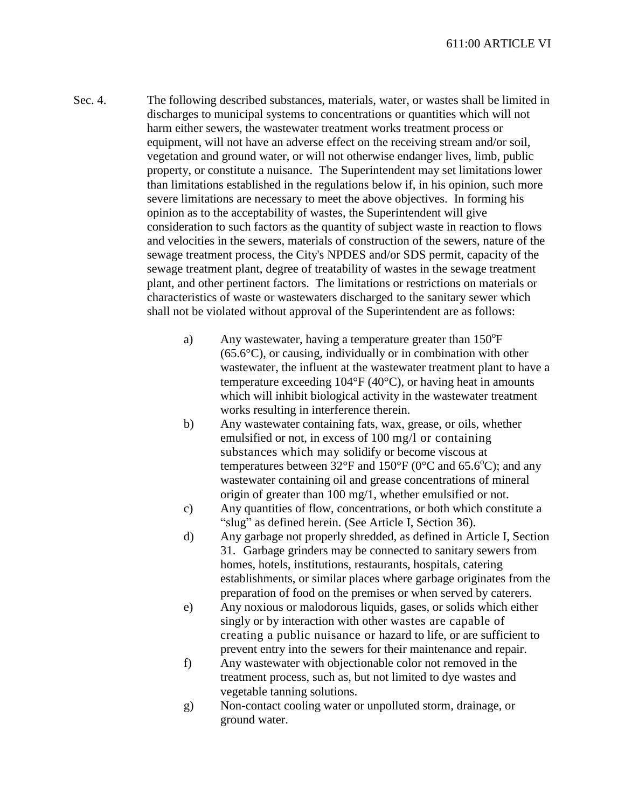- Sec. 4. The following described substances, materials, water, or wastes shall be limited in discharges to municipal systems to concentrations or quantities which will not harm either sewers, the wastewater treatment works treatment process or equipment, will not have an adverse effect on the receiving stream and/or soil, vegetation and ground water, or will not otherwise endanger lives, limb, public property, or constitute a nuisance. The Superintendent may set limitations lower than limitations established in the regulations below if, in his opinion, such more severe limitations are necessary to meet the above objectives. In forming his opinion as to the acceptability of wastes, the Superintendent will give consideration to such factors as the quantity of subject waste in reaction to flows and velocities in the sewers, materials of construction of the sewers, nature of the sewage treatment process, the City's NPDES and/or SDS permit, capacity of the sewage treatment plant, degree of treatability of wastes in the sewage treatment plant, and other pertinent factors. The limitations or restrictions on materials or characteristics of waste or wastewaters discharged to the sanitary sewer which shall not be violated without approval of the Superintendent are as follows:
	- a) Any wastewater, having a temperature greater than  $150^{\circ}$ F  $(65.6^{\circ}C)$ , or causing, individually or in combination with other wastewater, the influent at the wastewater treatment plant to have a temperature exceeding  $104^{\circ}F(40^{\circ}C)$ , or having heat in amounts which will inhibit biological activity in the wastewater treatment works resulting in interference therein.
	- b) Any wastewater containing fats, wax, grease, or oils, whether emulsified or not, in excess of 100 mg/l or containing substances which may solidify or become viscous at temperatures between  $32^{\circ}$ F and  $150^{\circ}$ F (0 $^{\circ}$ C and 65.6 $^{\circ}$ C); and any wastewater containing oil and grease concentrations of mineral origin of greater than 100 mg/1, whether emulsified or not.
	- c) Any quantities of flow, concentrations, or both which constitute a "slug" as defined herein. (See Article I, Section 36).
	- d) Any garbage not properly shredded, as defined in Article I, Section 31. Garbage grinders may be connected to sanitary sewers from homes, hotels, institutions, restaurants, hospitals, catering establishments, or similar places where garbage originates from the preparation of food on the premises or when served by caterers.
	- e) Any noxious or malodorous liquids, gases, or solids which either singly or by interaction with other wastes are capable of creating a public nuisance or hazard to life, or are sufficient to prevent entry into the sewers for their maintenance and repair.
	- f) Any wastewater with objectionable color not removed in the treatment process, such as, but not limited to dye wastes and vegetable tanning solutions.
	- g) Non-contact cooling water or unpolluted storm, drainage, or ground water.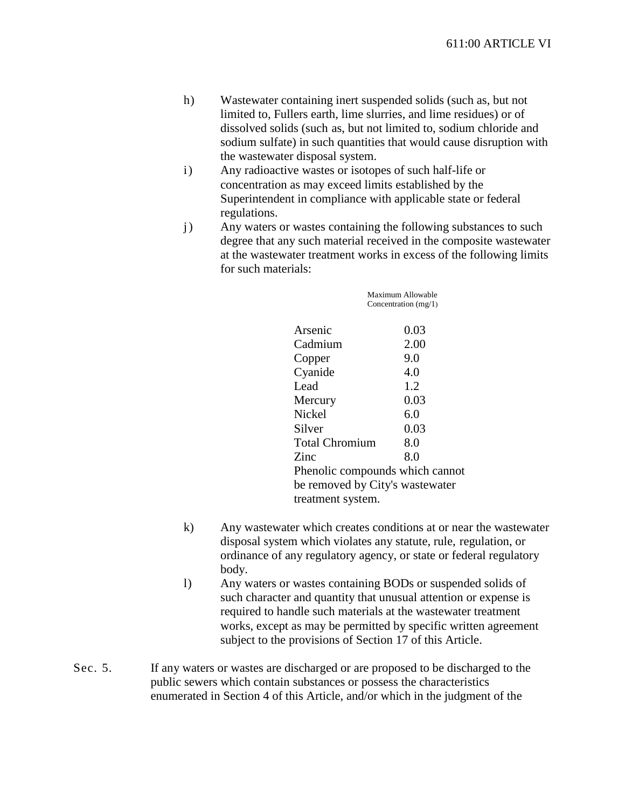- h) Wastewater containing inert suspended solids (such as, but not limited to, Fullers earth, lime slurries, and lime residues) or of dissolved solids (such as, but not limited to, sodium chloride and sodium sulfate) in such quantities that would cause disruption with the wastewater disposal system.
- i) Any radioactive wastes or isotopes of such half-life or concentration as may exceed limits established by the Superintendent in compliance with applicable state or federal regulations.
- j) Any waters or wastes containing the following substances to such degree that any such material received in the composite wastewater at the wastewater treatment works in excess of the following limits for such materials:

|                                 | Maximum Allowable      |
|---------------------------------|------------------------|
|                                 | Concentration $(mg/1)$ |
| Arsenic                         | 0.03                   |
| Cadmium                         | 2.00                   |
| Copper                          | 9.0                    |
| Cyanide                         | 4.0                    |
| Lead                            | 1.2                    |
| Mercury                         | 0.03                   |
| Nickel                          | 6.0                    |
| Silver                          | 0.03                   |
| <b>Total Chromium</b>           | 8.0                    |
| Zinc                            | 8.0                    |
| Phenolic compounds which cannot |                        |
| be removed by City's wastewater |                        |
| treatment system.               |                        |

- k) Any wastewater which creates conditions at or near the wastewater disposal system which violates any statute, rule, regulation, or ordinance of any regulatory agency, or state or federal regulatory body.
- l) Any waters or wastes containing BODs or suspended solids of such character and quantity that unusual attention or expense is required to handle such materials at the wastewater treatment works, except as may be permitted by specific written agreement subject to the provisions of Section 17 of this Article.
- Sec. 5. If any waters or wastes are discharged or are proposed to be discharged to the public sewers which contain substances or possess the characteristics enumerated in Section 4 of this Article, and/or which in the judgment of the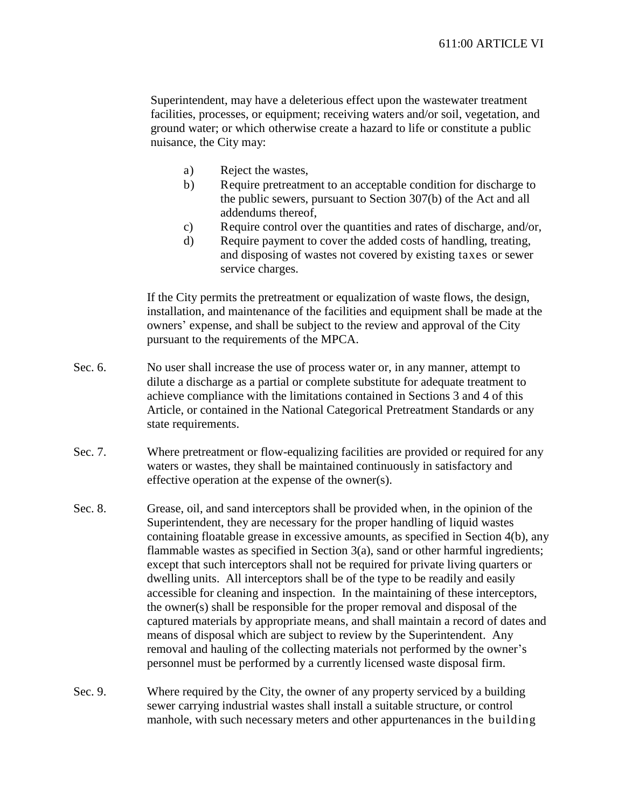Superintendent, may have a deleterious effect upon the wastewater treatment facilities, processes, or equipment; receiving waters and/or soil, vegetation, and ground water; or which otherwise create a hazard to life or constitute a public nuisance, the City may:

- a) Reject the wastes,
- b) Require pretreatment to an acceptable condition for discharge to the public sewers, pursuant to Section 307(b) of the Act and all addendums thereof,
- c) Require control over the quantities and rates of discharge, and/or,
- d) Require payment to cover the added costs of handling, treating, and disposing of wastes not covered by existing taxes or sewer service charges.

If the City permits the pretreatment or equalization of waste flows, the design, installation, and maintenance of the facilities and equipment shall be made at the owners' expense, and shall be subject to the review and approval of the City pursuant to the requirements of the MPCA.

- Sec. 6. No user shall increase the use of process water or, in any manner, attempt to dilute a discharge as a partial or complete substitute for adequate treatment to achieve compliance with the limitations contained in Sections 3 and 4 of this Article, or contained in the National Categorical Pretreatment Standards or any state requirements.
- Sec. 7. Where pretreatment or flow-equalizing facilities are provided or required for any waters or wastes, they shall be maintained continuously in satisfactory and effective operation at the expense of the owner(s).
- Sec. 8. Grease, oil, and sand interceptors shall be provided when, in the opinion of the Superintendent, they are necessary for the proper handling of liquid wastes containing floatable grease in excessive amounts, as specified in Section 4(b), any flammable wastes as specified in Section 3(a), sand or other harmful ingredients; except that such interceptors shall not be required for private living quarters or dwelling units. All interceptors shall be of the type to be readily and easily accessible for cleaning and inspection. In the maintaining of these interceptors, the owner(s) shall be responsible for the proper removal and disposal of the captured materials by appropriate means, and shall maintain a record of dates and means of disposal which are subject to review by the Superintendent. Any removal and hauling of the collecting materials not performed by the owner's personnel must be performed by a currently licensed waste disposal firm.
- Sec. 9. Where required by the City, the owner of any property serviced by a building sewer carrying industrial wastes shall install a suitable structure, or control manhole, with such necessary meters and other appurtenances in the building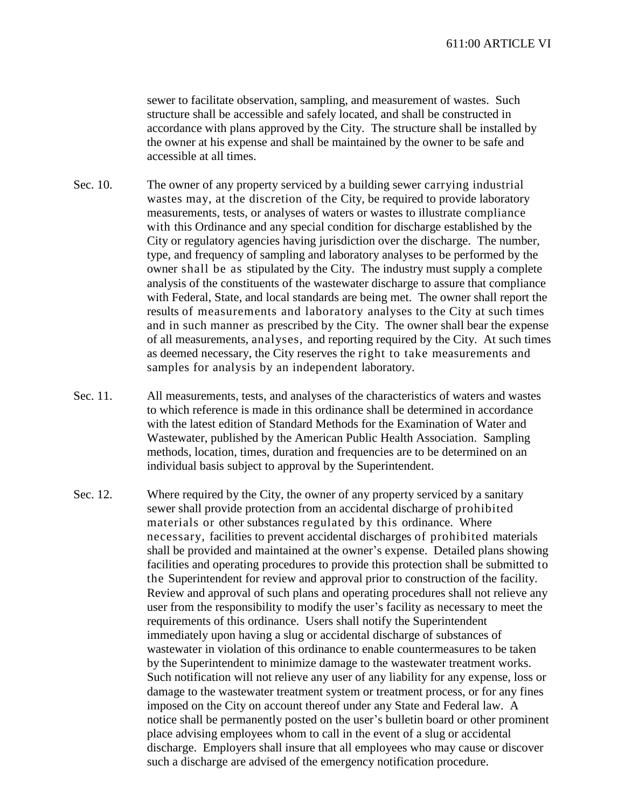sewer to facilitate observation, sampling, and measurement of wastes. Such structure shall be accessible and safely located, and shall be constructed in accordance with plans approved by the City. The structure shall be installed by the owner at his expense and shall be maintained by the owner to be safe and accessible at all times.

- Sec. 10. The owner of any property serviced by a building sewer carrying industrial wastes may, at the discretion of the City, be required to provide laboratory measurements, tests, or analyses of waters or wastes to illustrate compliance with this Ordinance and any special condition for discharge established by the City or regulatory agencies having jurisdiction over the discharge. The number, type, and frequency of sampling and laboratory analyses to be performed by the owner shall be as stipulated by the City. The industry must supply a complete analysis of the constituents of the wastewater discharge to assure that compliance with Federal, State, and local standards are being met. The owner shall report the results of measurements and laboratory analyses to the City at such times and in such manner as prescribed by the City. The owner shall bear the expense of all measurements, analyses, and reporting required by the City. At such times as deemed necessary, the City reserves the right to take measurements and samples for analysis by an independent laboratory.
- Sec. 11. All measurements, tests, and analyses of the characteristics of waters and wastes to which reference is made in this ordinance shall be determined in accordance with the latest edition of Standard Methods for the Examination of Water and Wastewater, published by the American Public Health Association. Sampling methods, location, times, duration and frequencies are to be determined on an individual basis subject to approval by the Superintendent.
- Sec. 12. Where required by the City, the owner of any property serviced by a sanitary sewer shall provide protection from an accidental discharge of prohibited materials or other substances regulated by this ordinance. Where necessary, facilities to prevent accidental discharges of prohibited materials shall be provided and maintained at the owner's expense. Detailed plans showing facilities and operating procedures to provide this protection shall be submitted to the Superintendent for review and approval prior to construction of the facility. Review and approval of such plans and operating procedures shall not relieve any user from the responsibility to modify the user's facility as necessary to meet the requirements of this ordinance. Users shall notify the Superintendent immediately upon having a slug or accidental discharge of substances of wastewater in violation of this ordinance to enable countermeasures to be taken by the Superintendent to minimize damage to the wastewater treatment works. Such notification will not relieve any user of any liability for any expense, loss or damage to the wastewater treatment system or treatment process, or for any fines imposed on the City on account thereof under any State and Federal law. A notice shall be permanently posted on the user's bulletin board or other prominent place advising employees whom to call in the event of a slug or accidental discharge. Employers shall insure that all employees who may cause or discover such a discharge are advised of the emergency notification procedure.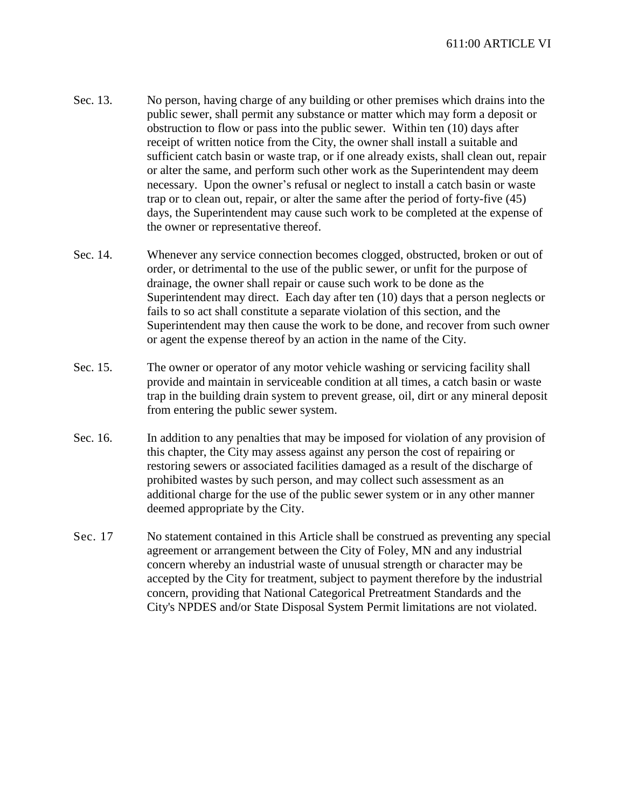- Sec. 13. No person, having charge of any building or other premises which drains into the public sewer, shall permit any substance or matter which may form a deposit or obstruction to flow or pass into the public sewer. Within ten (10) days after receipt of written notice from the City, the owner shall install a suitable and sufficient catch basin or waste trap, or if one already exists, shall clean out, repair or alter the same, and perform such other work as the Superintendent may deem necessary. Upon the owner's refusal or neglect to install a catch basin or waste trap or to clean out, repair, or alter the same after the period of forty-five (45) days, the Superintendent may cause such work to be completed at the expense of the owner or representative thereof.
- Sec. 14. Whenever any service connection becomes clogged, obstructed, broken or out of order, or detrimental to the use of the public sewer, or unfit for the purpose of drainage, the owner shall repair or cause such work to be done as the Superintendent may direct. Each day after ten (10) days that a person neglects or fails to so act shall constitute a separate violation of this section, and the Superintendent may then cause the work to be done, and recover from such owner or agent the expense thereof by an action in the name of the City.
- Sec. 15. The owner or operator of any motor vehicle washing or servicing facility shall provide and maintain in serviceable condition at all times, a catch basin or waste trap in the building drain system to prevent grease, oil, dirt or any mineral deposit from entering the public sewer system.
- Sec. 16. In addition to any penalties that may be imposed for violation of any provision of this chapter, the City may assess against any person the cost of repairing or restoring sewers or associated facilities damaged as a result of the discharge of prohibited wastes by such person, and may collect such assessment as an additional charge for the use of the public sewer system or in any other manner deemed appropriate by the City.
- Sec. 17 No statement contained in this Article shall be construed as preventing any special agreement or arrangement between the City of Foley, MN and any industrial concern whereby an industrial waste of unusual strength or character may be accepted by the City for treatment, subject to payment therefore by the industrial concern, providing that National Categorical Pretreatment Standards and the City's NPDES and/or State Disposal System Permit limitations are not violated.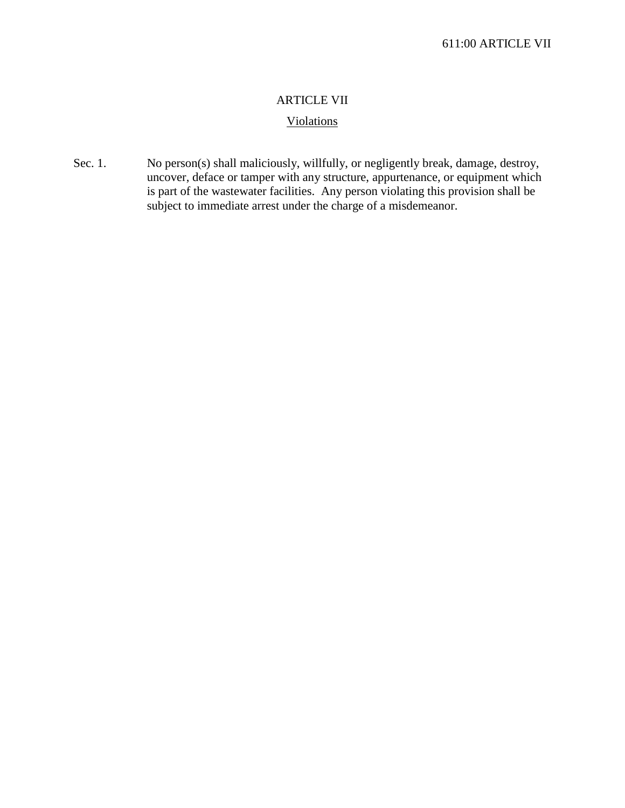# ARTICLE VII

# Violations

Sec. 1. No person(s) shall maliciously, willfully, or negligently break, damage, destroy, uncover, deface or tamper with any structure, appurtenance, or equipment which is part of the wastewater facilities. Any person violating this provision shall be subject to immediate arrest under the charge of a misdemeanor.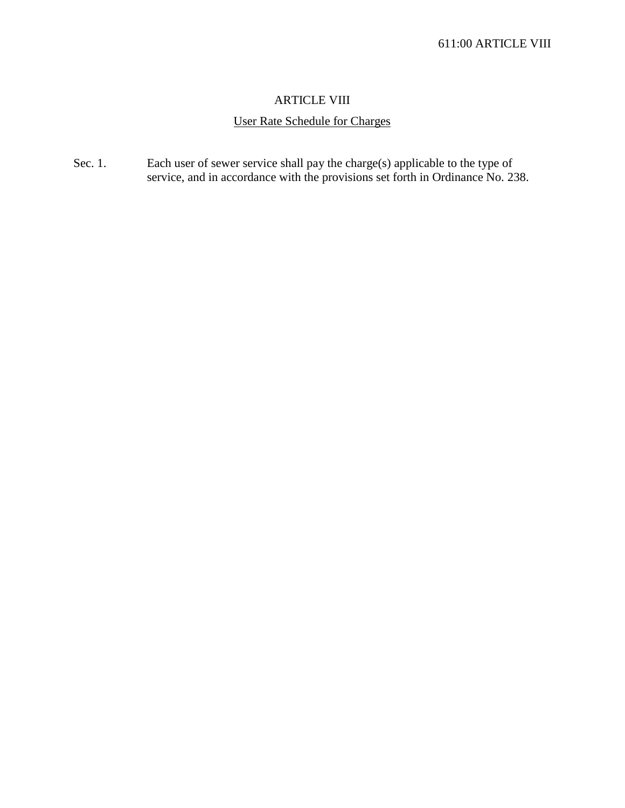## ARTICLE VIII

# User Rate Schedule for Charges

Sec. 1. Each user of sewer service shall pay the charge(s) applicable to the type of service, and in accordance with the provisions set forth in Ordinance No. 238.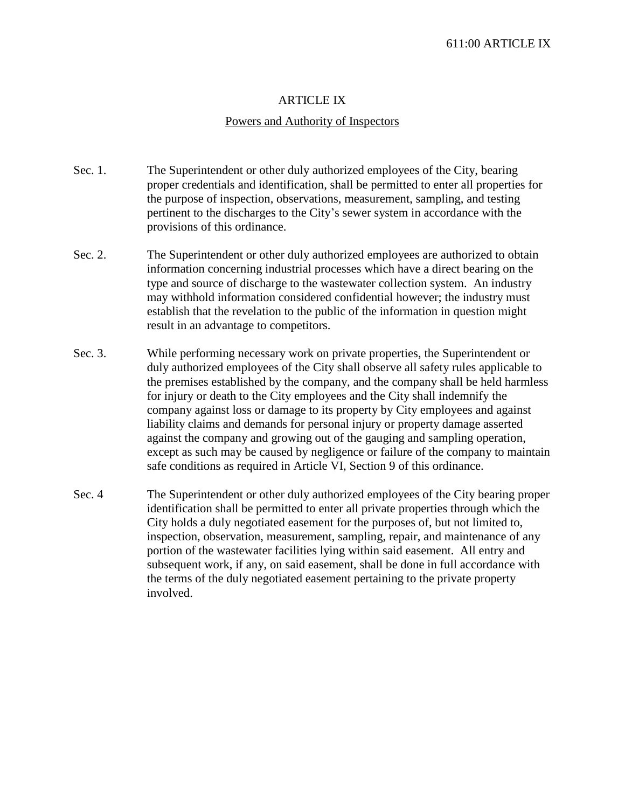#### ARTICLE IX

#### Powers and Authority of Inspectors

- Sec. 1. The Superintendent or other duly authorized employees of the City, bearing proper credentials and identification, shall be permitted to enter all properties for the purpose of inspection, observations, measurement, sampling, and testing pertinent to the discharges to the City's sewer system in accordance with the provisions of this ordinance.
- Sec. 2. The Superintendent or other duly authorized employees are authorized to obtain information concerning industrial processes which have a direct bearing on the type and source of discharge to the wastewater collection system. An industry may withhold information considered confidential however; the industry must establish that the revelation to the public of the information in question might result in an advantage to competitors.
- Sec. 3. While performing necessary work on private properties, the Superintendent or duly authorized employees of the City shall observe all safety rules applicable to the premises established by the company, and the company shall be held harmless for injury or death to the City employees and the City shall indemnify the company against loss or damage to its property by City employees and against liability claims and demands for personal injury or property damage asserted against the company and growing out of the gauging and sampling operation, except as such may be caused by negligence or failure of the company to maintain safe conditions as required in Article VI, Section 9 of this ordinance.
- Sec. 4 The Superintendent or other duly authorized employees of the City bearing proper identification shall be permitted to enter all private properties through which the City holds a duly negotiated easement for the purposes of, but not limited to, inspection, observation, measurement, sampling, repair, and maintenance of any portion of the wastewater facilities lying within said easement. All entry and subsequent work, if any, on said easement, shall be done in full accordance with the terms of the duly negotiated easement pertaining to the private property involved.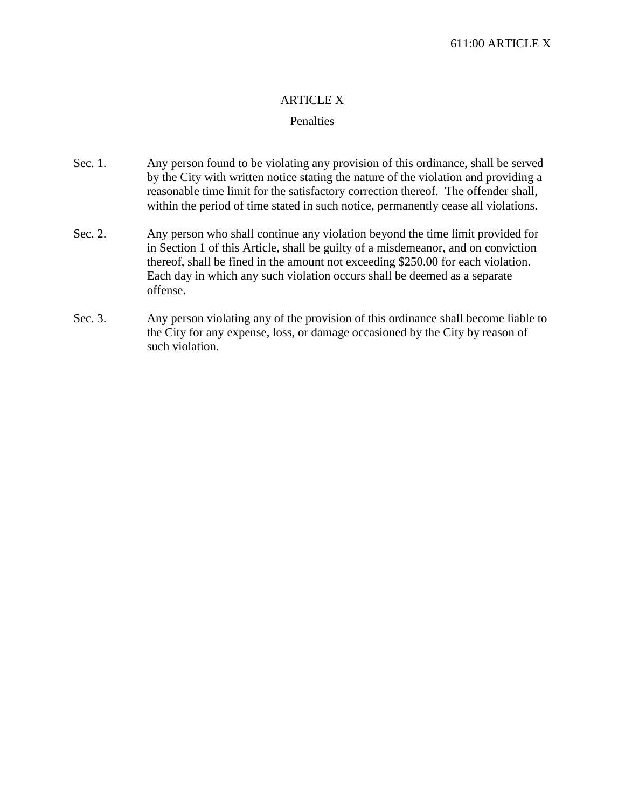## ARTICLE X

#### Penalties

- Sec. 1. Any person found to be violating any provision of this ordinance, shall be served by the City with written notice stating the nature of the violation and providing a reasonable time limit for the satisfactory correction thereof. The offender shall, within the period of time stated in such notice, permanently cease all violations.
- Sec. 2. Any person who shall continue any violation beyond the time limit provided for in Section 1 of this Article, shall be guilty of a misdemeanor, and on conviction thereof, shall be fined in the amount not exceeding \$250.00 for each violation. Each day in which any such violation occurs shall be deemed as a separate offense.
- Sec. 3. Any person violating any of the provision of this ordinance shall become liable to the City for any expense, loss, or damage occasioned by the City by reason of such violation.